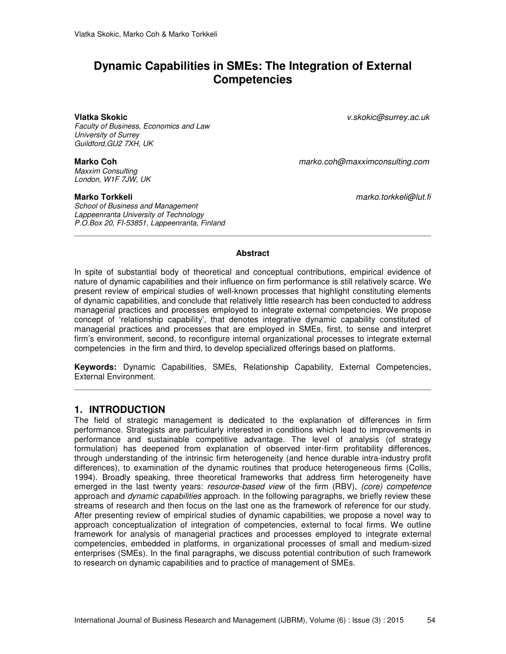# **Dynamic Capabilities in SMEs: The Integration of External Competencies**

*Faculty of Business, Economics and Law University of Surrey Guildford,GU2 7XH, UK* 

*Maxxim Consulting London, W1F 7JW, UK* 

*School of Business and Management Lappeenranta University of Technology P.O.Box 20, FI-53851, Lappeenranta, Finland* 

**Vlatka Skokic** *v.skokic@surrey.ac.uk* 

**Marko Coh** *marko.coh@maxximconsulting.com*

**Marko Torkkeli** *marko.torkkeli@lut.fi* 

### **Abstract**

In spite of substantial body of theoretical and conceptual contributions, empirical evidence of nature of dynamic capabilities and their influence on firm performance is still relatively scarce. We present review of empirical studies of well-known processes that highlight constituting elements of dynamic capabilities, and conclude that relatively little research has been conducted to address managerial practices and processes employed to integrate external competencies. We propose concept of 'relationship capability', that denotes integrative dynamic capability constituted of managerial practices and processes that are employed in SMEs, first, to sense and interpret firm's environment, second, to reconfigure internal organizational processes to integrate external competencies in the firm and third, to develop specialized offerings based on platforms.

**Keywords:** Dynamic Capabilities, SMEs, Relationship Capability, External Competencies, External Environment.

## **1. INTRODUCTION**

The field of strategic management is dedicated to the explanation of differences in firm performance. Strategists are particularly interested in conditions which lead to improvements in performance and sustainable competitive advantage. The level of analysis (of strategy formulation) has deepened from explanation of observed inter-firm profitability differences, through understanding of the intrinsic firm heterogeneity (and hence durable intra-industry profit differences), to examination of the dynamic routines that produce heterogeneous firms (Collis, 1994). Broadly speaking, three theoretical frameworks that address firm heterogeneity have emerged in the last twenty years: *resource-based view* of the firm (RBV), *(core) competence* approach and *dynamic capabilities* approach. In the following paragraphs, we briefly review these streams of research and then focus on the last one as the framework of reference for our study. After presenting review of empirical studies of dynamic capabilities, we propose a novel way to approach conceptualization of integration of competencies, external to focal firms. We outline framework for analysis of managerial practices and processes employed to integrate external competencies, embedded in platforms, in organizational processes of small and medium-sized enterprises (SMEs). In the final paragraphs, we discuss potential contribution of such framework to research on dynamic capabilities and to practice of management of SMEs.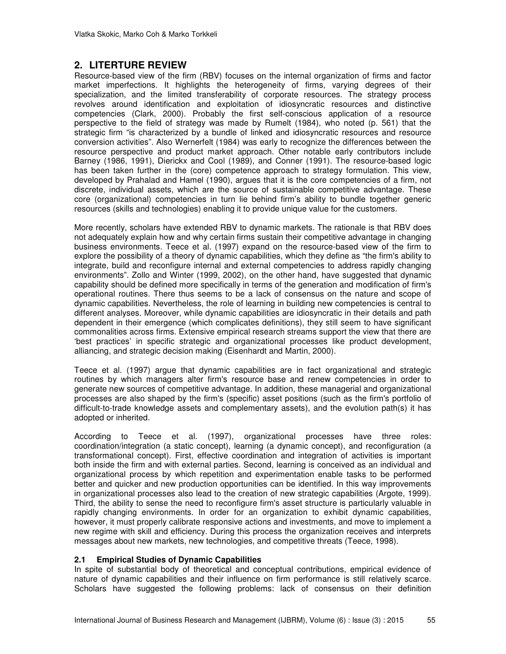# **2. LITERTURE REVIEW**

Resource-based view of the firm (RBV) focuses on the internal organization of firms and factor market imperfections. It highlights the heterogeneity of firms, varying degrees of their specialization, and the limited transferability of corporate resources. The strategy process revolves around identification and exploitation of idiosyncratic resources and distinctive competencies (Clark, 2000). Probably the first self-conscious application of a resource perspective to the field of strategy was made by Rumelt (1984), who noted (p. 561) that the strategic firm "is characterized by a bundle of linked and idiosyncratic resources and resource conversion activities". Also Wernerfelt (1984) was early to recognize the differences between the resource perspective and product market approach. Other notable early contributors include Barney (1986, 1991), Dierickx and Cool (1989), and Conner (1991). The resource-based logic has been taken further in the (core) competence approach to strategy formulation. This view, developed by Prahalad and Hamel (1990), argues that it is the core competencies of a firm, not discrete, individual assets, which are the source of sustainable competitive advantage. These core (organizational) competencies in turn lie behind firm's ability to bundle together generic resources (skills and technologies) enabling it to provide unique value for the customers.

More recently, scholars have extended RBV to dynamic markets. The rationale is that RBV does not adequately explain how and why certain firms sustain their competitive advantage in changing business environments. Teece et al. (1997) expand on the resource-based view of the firm to explore the possibility of a theory of dynamic capabilities, which they define as "the firm's ability to integrate, build and reconfigure internal and external competencies to address rapidly changing environments". Zollo and Winter (1999, 2002), on the other hand, have suggested that dynamic capability should be defined more specifically in terms of the generation and modification of firm's operational routines. There thus seems to be a lack of consensus on the nature and scope of dynamic capabilities. Nevertheless, the role of learning in building new competencies is central to different analyses. Moreover, while dynamic capabilities are idiosyncratic in their details and path dependent in their emergence (which complicates definitions), they still seem to have significant commonalities across firms. Extensive empirical research streams support the view that there are 'best practices' in specific strategic and organizational processes like product development, alliancing, and strategic decision making (Eisenhardt and Martin, 2000).

Teece et al. (1997) argue that dynamic capabilities are in fact organizational and strategic routines by which managers alter firm's resource base and renew competencies in order to generate new sources of competitive advantage. In addition, these managerial and organizational processes are also shaped by the firm's (specific) asset positions (such as the firm's portfolio of difficult-to-trade knowledge assets and complementary assets), and the evolution path(s) it has adopted or inherited.

According to Teece et al. (1997), organizational processes have three roles: coordination/integration (a static concept), learning (a dynamic concept), and reconfiguration (a transformational concept). First, effective coordination and integration of activities is important both inside the firm and with external parties. Second, learning is conceived as an individual and organizational process by which repetition and experimentation enable tasks to be performed better and quicker and new production opportunities can be identified. In this way improvements in organizational processes also lead to the creation of new strategic capabilities (Argote, 1999). Third, the ability to sense the need to reconfigure firm's asset structure is particularly valuable in rapidly changing environments. In order for an organization to exhibit dynamic capabilities, however, it must properly calibrate responsive actions and investments, and move to implement a new regime with skill and efficiency. During this process the organization receives and interprets messages about new markets, new technologies, and competitive threats (Teece, 1998).

## **2.1 Empirical Studies of Dynamic Capabilities**

In spite of substantial body of theoretical and conceptual contributions, empirical evidence of nature of dynamic capabilities and their influence on firm performance is still relatively scarce. Scholars have suggested the following problems: lack of consensus on their definition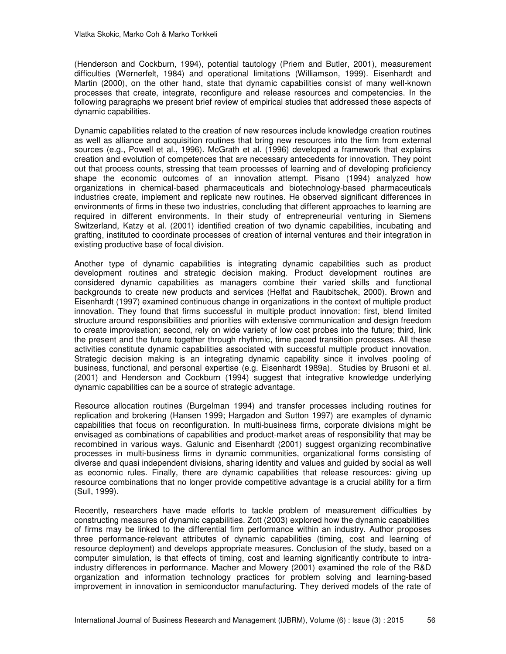(Henderson and Cockburn, 1994), potential tautology (Priem and Butler, 2001), measurement difficulties (Wernerfelt, 1984) and operational limitations (Williamson, 1999). Eisenhardt and Martin (2000), on the other hand, state that dynamic capabilities consist of many well-known processes that create, integrate, reconfigure and release resources and competencies. In the following paragraphs we present brief review of empirical studies that addressed these aspects of dynamic capabilities.

Dynamic capabilities related to the creation of new resources include knowledge creation routines as well as alliance and acquisition routines that bring new resources into the firm from external sources (e.g., Powell et al., 1996). McGrath et al. (1996) developed a framework that explains creation and evolution of competences that are necessary antecedents for innovation. They point out that process counts, stressing that team processes of learning and of developing proficiency shape the economic outcomes of an innovation attempt. Pisano (1994) analyzed how organizations in chemical-based pharmaceuticals and biotechnology-based pharmaceuticals industries create, implement and replicate new routines. He observed significant differences in environments of firms in these two industries, concluding that different approaches to learning are required in different environments. In their study of entrepreneurial venturing in Siemens Switzerland, Katzy et al. (2001) identified creation of two dynamic capabilities, incubating and grafting, instituted to coordinate processes of creation of internal ventures and their integration in existing productive base of focal division.

Another type of dynamic capabilities is integrating dynamic capabilities such as product development routines and strategic decision making. Product development routines are considered dynamic capabilities as managers combine their varied skills and functional backgrounds to create new products and services (Helfat and Raubitschek, 2000). Brown and Eisenhardt (1997) examined continuous change in organizations in the context of multiple product innovation. They found that firms successful in multiple product innovation: first, blend limited structure around responsibilities and priorities with extensive communication and design freedom to create improvisation; second, rely on wide variety of low cost probes into the future; third, link the present and the future together through rhythmic, time paced transition processes. All these activities constitute dynamic capabilities associated with successful multiple product innovation. Strategic decision making is an integrating dynamic capability since it involves pooling of business, functional, and personal expertise (e.g. Eisenhardt 1989a). Studies by Brusoni et al. (2001) and Henderson and Cockburn (1994) suggest that integrative knowledge underlying dynamic capabilities can be a source of strategic advantage.

Resource allocation routines (Burgelman 1994) and transfer processes including routines for replication and brokering (Hansen 1999; Hargadon and Sutton 1997) are examples of dynamic capabilities that focus on reconfiguration. In multi-business firms, corporate divisions might be envisaged as combinations of capabilities and product-market areas of responsibility that may be recombined in various ways. Galunic and Eisenhardt (2001) suggest organizing recombinative processes in multi-business firms in dynamic communities, organizational forms consisting of diverse and quasi independent divisions, sharing identity and values and guided by social as well as economic rules. Finally, there are dynamic capabilities that release resources: giving up resource combinations that no longer provide competitive advantage is a crucial ability for a firm (Sull, 1999).

Recently, researchers have made efforts to tackle problem of measurement difficulties by constructing measures of dynamic capabilities. Zott (2003) explored how the dynamic capabilities of firms may be linked to the differential firm performance within an industry. Author proposes three performance-relevant attributes of dynamic capabilities (timing, cost and learning of resource deployment) and develops appropriate measures. Conclusion of the study, based on a computer simulation, is that effects of timing, cost and learning significantly contribute to intraindustry differences in performance. Macher and Mowery (2001) examined the role of the R&D organization and information technology practices for problem solving and learning-based improvement in innovation in semiconductor manufacturing. They derived models of the rate of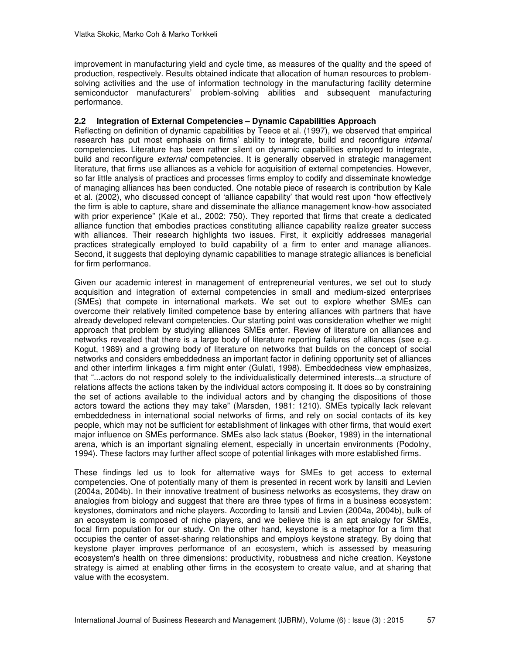improvement in manufacturing yield and cycle time, as measures of the quality and the speed of production, respectively. Results obtained indicate that allocation of human resources to problemsolving activities and the use of information technology in the manufacturing facility determine semiconductor manufacturers' problem-solving abilities and subsequent manufacturing performance.

## **2.2 Integration of External Competencies – Dynamic Capabilities Approach**

Reflecting on definition of dynamic capabilities by Teece et al. (1997), we observed that empirical research has put most emphasis on firms' ability to integrate, build and reconfigure *internal*  competencies. Literature has been rather silent on dynamic capabilities employed to integrate, build and reconfigure *external* competencies. It is generally observed in strategic management literature, that firms use alliances as a vehicle for acquisition of external competencies. However, so far little analysis of practices and processes firms employ to codify and disseminate knowledge of managing alliances has been conducted. One notable piece of research is contribution by Kale et al. (2002), who discussed concept of 'alliance capability' that would rest upon "how effectively the firm is able to capture, share and disseminate the alliance management know-how associated with prior experience" (Kale et al., 2002: 750). They reported that firms that create a dedicated alliance function that embodies practices constituting alliance capability realize greater success with alliances. Their research highlights two issues. First, it explicitly addresses managerial practices strategically employed to build capability of a firm to enter and manage alliances. Second, it suggests that deploying dynamic capabilities to manage strategic alliances is beneficial for firm performance.

Given our academic interest in management of entrepreneurial ventures, we set out to study acquisition and integration of external competencies in small and medium-sized enterprises (SMEs) that compete in international markets. We set out to explore whether SMEs can overcome their relatively limited competence base by entering alliances with partners that have already developed relevant competencies. Our starting point was consideration whether we might approach that problem by studying alliances SMEs enter. Review of literature on alliances and networks revealed that there is a large body of literature reporting failures of alliances (see e.g. Kogut, 1989) and a growing body of literature on networks that builds on the concept of social networks and considers embeddedness an important factor in defining opportunity set of alliances and other interfirm linkages a firm might enter (Gulati, 1998). Embeddedness view emphasizes, that "...actors do not respond solely to the individualistically determined interests...a structure of relations affects the actions taken by the individual actors composing it. It does so by constraining the set of actions available to the individual actors and by changing the dispositions of those actors toward the actions they may take" (Marsden, 1981: 1210). SMEs typically lack relevant embeddedness in international social networks of firms, and rely on social contacts of its key people, which may not be sufficient for establishment of linkages with other firms, that would exert major influence on SMEs performance. SMEs also lack status (Boeker, 1989) in the international arena, which is an important signaling element, especially in uncertain environments (Podolny, 1994). These factors may further affect scope of potential linkages with more established firms.

These findings led us to look for alternative ways for SMEs to get access to external competencies. One of potentially many of them is presented in recent work by Iansiti and Levien (2004a, 2004b). In their innovative treatment of business networks as ecosystems, they draw on analogies from biology and suggest that there are three types of firms in a business ecosystem: keystones, dominators and niche players. According to Iansiti and Levien (2004a, 2004b), bulk of an ecosystem is composed of niche players, and we believe this is an apt analogy for SMEs, focal firm population for our study. On the other hand, keystone is a metaphor for a firm that occupies the center of asset-sharing relationships and employs keystone strategy. By doing that keystone player improves performance of an ecosystem, which is assessed by measuring ecosystem's health on three dimensions: productivity, robustness and niche creation. Keystone strategy is aimed at enabling other firms in the ecosystem to create value, and at sharing that value with the ecosystem.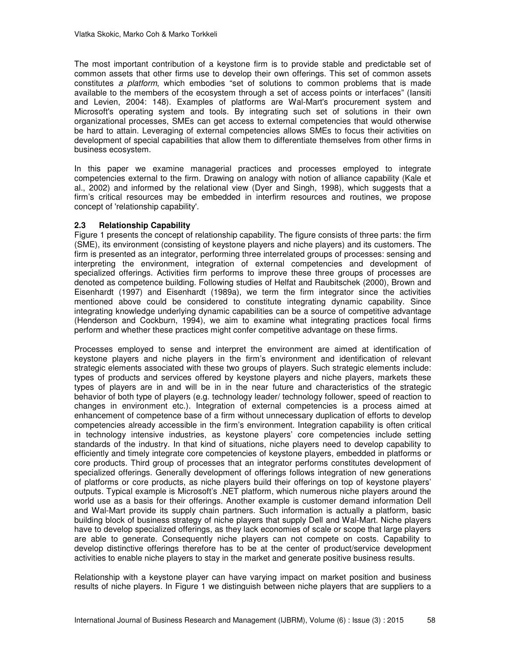The most important contribution of a keystone firm is to provide stable and predictable set of common assets that other firms use to develop their own offerings. This set of common assets constitutes *a platform*, which embodies "set of solutions to common problems that is made available to the members of the ecosystem through a set of access points or interfaces" (Iansiti and Levien, 2004: 148). Examples of platforms are Wal-Mart's procurement system and Microsoft's operating system and tools. By integrating such set of solutions in their own organizational processes, SMEs can get access to external competencies that would otherwise be hard to attain. Leveraging of external competencies allows SMEs to focus their activities on development of special capabilities that allow them to differentiate themselves from other firms in business ecosystem.

In this paper we examine managerial practices and processes employed to integrate competencies external to the firm. Drawing on analogy with notion of alliance capability (Kale et al., 2002) and informed by the relational view (Dyer and Singh, 1998), which suggests that a firm's critical resources may be embedded in interfirm resources and routines, we propose concept of 'relationship capability'.

## **2.3 Relationship Capability**

Figure 1 presents the concept of relationship capability. The figure consists of three parts: the firm (SME), its environment (consisting of keystone players and niche players) and its customers. The firm is presented as an integrator, performing three interrelated groups of processes: sensing and interpreting the environment, integration of external competencies and development of specialized offerings. Activities firm performs to improve these three groups of processes are denoted as competence building. Following studies of Helfat and Raubitschek (2000), Brown and Eisenhardt (1997) and Eisenhardt (1989a), we term the firm integrator since the activities mentioned above could be considered to constitute integrating dynamic capability. Since integrating knowledge underlying dynamic capabilities can be a source of competitive advantage (Henderson and Cockburn, 1994), we aim to examine what integrating practices focal firms perform and whether these practices might confer competitive advantage on these firms.

Processes employed to sense and interpret the environment are aimed at identification of keystone players and niche players in the firm's environment and identification of relevant strategic elements associated with these two groups of players. Such strategic elements include: types of products and services offered by keystone players and niche players, markets these types of players are in and will be in in the near future and characteristics of the strategic behavior of both type of players (e.g. technology leader/ technology follower, speed of reaction to changes in environment etc.). Integration of external competencies is a process aimed at enhancement of competence base of a firm without unnecessary duplication of efforts to develop competencies already accessible in the firm's environment. Integration capability is often critical in technology intensive industries, as keystone players' core competencies include setting standards of the industry. In that kind of situations, niche players need to develop capability to efficiently and timely integrate core competencies of keystone players, embedded in platforms or core products. Third group of processes that an integrator performs constitutes development of specialized offerings. Generally development of offerings follows integration of new generations of platforms or core products, as niche players build their offerings on top of keystone players' outputs. Typical example is Microsoft's .NET platform, which numerous niche players around the world use as a basis for their offerings. Another example is customer demand information Dell and Wal-Mart provide its supply chain partners. Such information is actually a platform, basic building block of business strategy of niche players that supply Dell and Wal-Mart. Niche players have to develop specialized offerings, as they lack economies of scale or scope that large players are able to generate. Consequently niche players can not compete on costs. Capability to develop distinctive offerings therefore has to be at the center of product/service development activities to enable niche players to stay in the market and generate positive business results.

Relationship with a keystone player can have varying impact on market position and business results of niche players. In Figure 1 we distinguish between niche players that are suppliers to a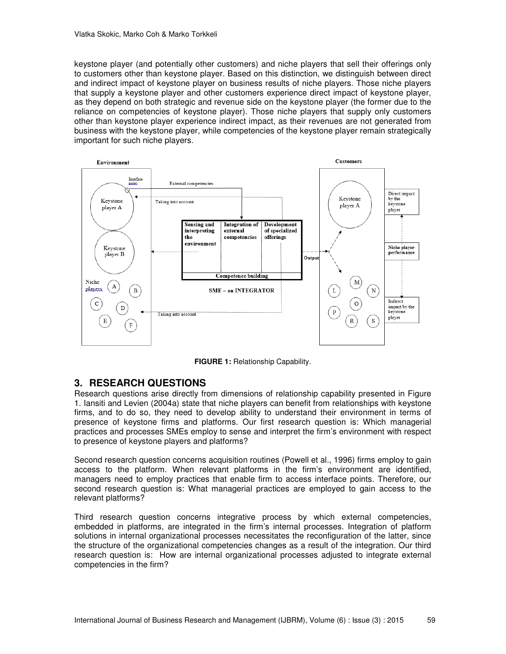keystone player (and potentially other customers) and niche players that sell their offerings only to customers other than keystone player. Based on this distinction, we distinguish between direct and indirect impact of keystone player on business results of niche players. Those niche players that supply a keystone player and other customers experience direct impact of keystone player, as they depend on both strategic and revenue side on the keystone player (the former due to the reliance on competencies of keystone player). Those niche players that supply only customers other than keystone player experience indirect impact, as their revenues are not generated from business with the keystone player, while competencies of the keystone player remain strategically important for such niche players.



**FIGURE 1:** Relationship Capability.

# **3. RESEARCH QUESTIONS**

Research questions arise directly from dimensions of relationship capability presented in Figure 1. Iansiti and Levien (2004a) state that niche players can benefit from relationships with keystone firms, and to do so, they need to develop ability to understand their environment in terms of presence of keystone firms and platforms. Our first research question is: Which managerial practices and processes SMEs employ to sense and interpret the firm's environment with respect to presence of keystone players and platforms?

Second research question concerns acquisition routines (Powell et al., 1996) firms employ to gain access to the platform. When relevant platforms in the firm's environment are identified, managers need to employ practices that enable firm to access interface points. Therefore, our second research question is: What managerial practices are employed to gain access to the relevant platforms?

Third research question concerns integrative process by which external competencies, embedded in platforms, are integrated in the firm's internal processes. Integration of platform solutions in internal organizational processes necessitates the reconfiguration of the latter, since the structure of the organizational competencies changes as a result of the integration. Our third research question is: How are internal organizational processes adjusted to integrate external competencies in the firm?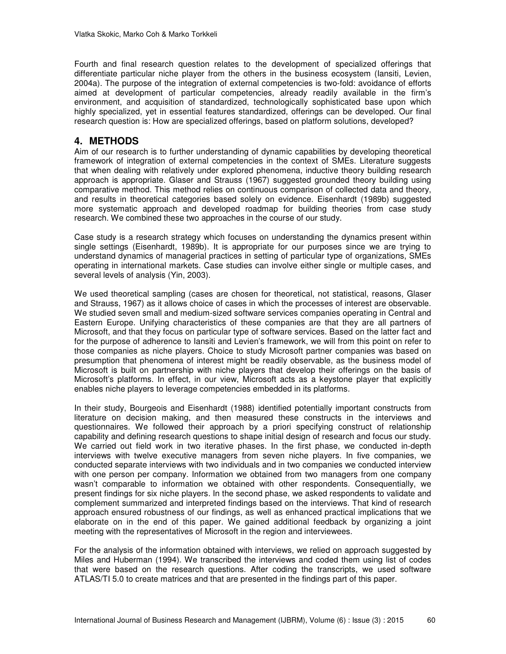Fourth and final research question relates to the development of specialized offerings that differentiate particular niche player from the others in the business ecosystem (Iansiti, Levien, 2004a). The purpose of the integration of external competencies is two-fold: avoidance of efforts aimed at development of particular competencies, already readily available in the firm's environment, and acquisition of standardized, technologically sophisticated base upon which highly specialized, yet in essential features standardized, offerings can be developed. Our final research question is: How are specialized offerings, based on platform solutions, developed?

# **4. METHODS**

Aim of our research is to further understanding of dynamic capabilities by developing theoretical framework of integration of external competencies in the context of SMEs. Literature suggests that when dealing with relatively under explored phenomena, inductive theory building research approach is appropriate. Glaser and Strauss (1967) suggested grounded theory building using comparative method. This method relies on continuous comparison of collected data and theory, and results in theoretical categories based solely on evidence. Eisenhardt (1989b) suggested more systematic approach and developed roadmap for building theories from case study research. We combined these two approaches in the course of our study.

Case study is a research strategy which focuses on understanding the dynamics present within single settings (Eisenhardt, 1989b). It is appropriate for our purposes since we are trying to understand dynamics of managerial practices in setting of particular type of organizations, SMEs operating in international markets. Case studies can involve either single or multiple cases, and several levels of analysis (Yin, 2003).

We used theoretical sampling (cases are chosen for theoretical, not statistical, reasons, Glaser and Strauss, 1967) as it allows choice of cases in which the processes of interest are observable. We studied seven small and medium-sized software services companies operating in Central and Eastern Europe. Unifying characteristics of these companies are that they are all partners of Microsoft, and that they focus on particular type of software services. Based on the latter fact and for the purpose of adherence to Iansiti and Levien's framework, we will from this point on refer to those companies as niche players. Choice to study Microsoft partner companies was based on presumption that phenomena of interest might be readily observable, as the business model of Microsoft is built on partnership with niche players that develop their offerings on the basis of Microsoft's platforms. In effect, in our view, Microsoft acts as a keystone player that explicitly enables niche players to leverage competencies embedded in its platforms.

In their study, Bourgeois and Eisenhardt (1988) identified potentially important constructs from literature on decision making, and then measured these constructs in the interviews and questionnaires. We followed their approach by a priori specifying construct of relationship capability and defining research questions to shape initial design of research and focus our study. We carried out field work in two iterative phases. In the first phase, we conducted in-depth interviews with twelve executive managers from seven niche players. In five companies, we conducted separate interviews with two individuals and in two companies we conducted interview with one person per company. Information we obtained from two managers from one company wasn't comparable to information we obtained with other respondents. Consequentially, we present findings for six niche players. In the second phase, we asked respondents to validate and complement summarized and interpreted findings based on the interviews. That kind of research approach ensured robustness of our findings, as well as enhanced practical implications that we elaborate on in the end of this paper. We gained additional feedback by organizing a joint meeting with the representatives of Microsoft in the region and interviewees.

For the analysis of the information obtained with interviews, we relied on approach suggested by Miles and Huberman (1994). We transcribed the interviews and coded them using list of codes that were based on the research questions. After coding the transcripts, we used software ATLAS/TI 5.0 to create matrices and that are presented in the findings part of this paper.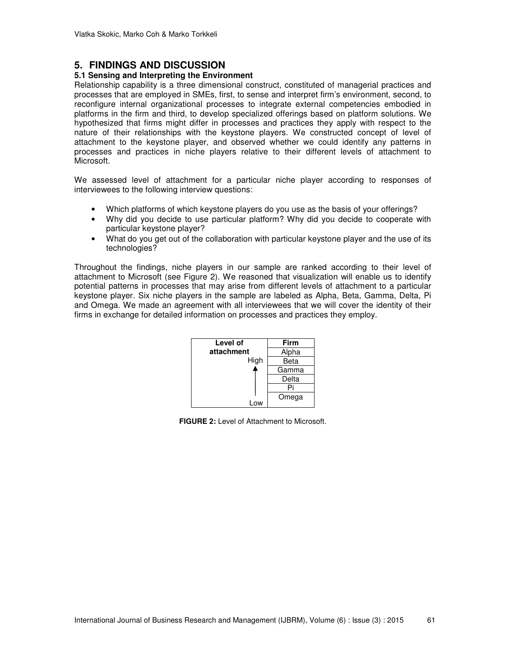# **5. FINDINGS AND DISCUSSION**

## **5.1 Sensing and Interpreting the Environment**

Relationship capability is a three dimensional construct, constituted of managerial practices and processes that are employed in SMEs, first, to sense and interpret firm's environment, second, to reconfigure internal organizational processes to integrate external competencies embodied in platforms in the firm and third, to develop specialized offerings based on platform solutions. We hypothesized that firms might differ in processes and practices they apply with respect to the nature of their relationships with the keystone players. We constructed concept of level of attachment to the keystone player, and observed whether we could identify any patterns in processes and practices in niche players relative to their different levels of attachment to Microsoft.

We assessed level of attachment for a particular niche player according to responses of interviewees to the following interview questions:

- Which platforms of which keystone players do you use as the basis of your offerings?
- Why did you decide to use particular platform? Why did you decide to cooperate with particular keystone player?
- What do you get out of the collaboration with particular keystone player and the use of its technologies?

Throughout the findings, niche players in our sample are ranked according to their level of attachment to Microsoft (see Figure 2). We reasoned that visualization will enable us to identify potential patterns in processes that may arise from different levels of attachment to a particular keystone player. Six niche players in the sample are labeled as Alpha, Beta, Gamma, Delta, Pi and Omega. We made an agreement with all interviewees that we will cover the identity of their firms in exchange for detailed information on processes and practices they employ.



**FIGURE 2:** Level of Attachment to Microsoft.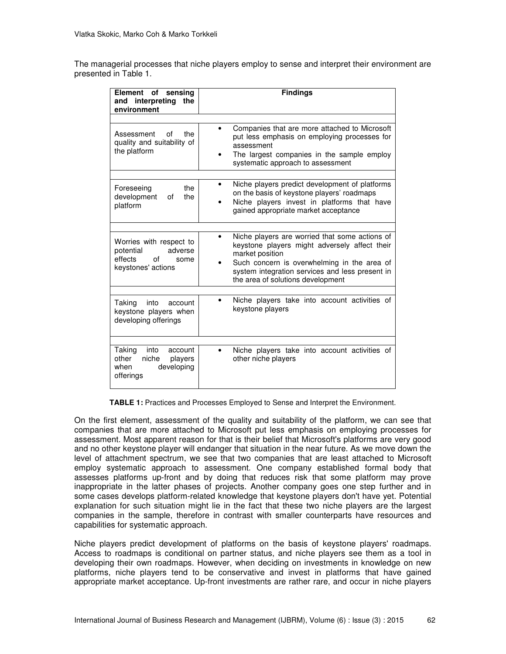The managerial processes that niche players employ to sense and interpret their environment are presented in Table 1.

| Element of sensing<br>and interpreting the<br>environment                                      | <b>Findings</b>                                                                                                                                                                                                                                           |
|------------------------------------------------------------------------------------------------|-----------------------------------------------------------------------------------------------------------------------------------------------------------------------------------------------------------------------------------------------------------|
| Assessment<br>the<br>οf<br>quality and suitability of<br>the platform                          | Companies that are more attached to Microsoft<br>put less emphasis on employing processes for<br>assessment<br>The largest companies in the sample employ<br>systematic approach to assessment                                                            |
| the<br>Foreseeing<br>development<br>the<br>0f<br>platform                                      | Niche players predict development of platforms<br>on the basis of keystone players' roadmaps<br>Niche players invest in platforms that have<br>gained appropriate market acceptance                                                                       |
| Worries with respect to<br>adverse<br>potential<br>of<br>effects<br>some<br>keystones' actions | Niche players are worried that some actions of<br>keystone players might adversely affect their<br>market position<br>Such concern is overwhelming in the area of<br>system integration services and less present in<br>the area of solutions development |
| into<br>Taking<br>account<br>keystone players when<br>developing offerings                     | Niche players take into account activities of<br>keystone players                                                                                                                                                                                         |
| Taking<br>into<br>account<br>other<br>niche<br>players<br>developing<br>when<br>offerings      | Niche players take into account activities of<br>$\bullet$<br>other niche players                                                                                                                                                                         |

**TABLE 1:** Practices and Processes Employed to Sense and Interpret the Environment.

On the first element, assessment of the quality and suitability of the platform, we can see that companies that are more attached to Microsoft put less emphasis on employing processes for assessment. Most apparent reason for that is their belief that Microsoft's platforms are very good and no other keystone player will endanger that situation in the near future. As we move down the level of attachment spectrum, we see that two companies that are least attached to Microsoft employ systematic approach to assessment. One company established formal body that assesses platforms up-front and by doing that reduces risk that some platform may prove inappropriate in the latter phases of projects. Another company goes one step further and in some cases develops platform-related knowledge that keystone players don't have yet. Potential explanation for such situation might lie in the fact that these two niche players are the largest companies in the sample, therefore in contrast with smaller counterparts have resources and capabilities for systematic approach.

Niche players predict development of platforms on the basis of keystone players' roadmaps. Access to roadmaps is conditional on partner status, and niche players see them as a tool in developing their own roadmaps. However, when deciding on investments in knowledge on new platforms, niche players tend to be conservative and invest in platforms that have gained appropriate market acceptance. Up-front investments are rather rare, and occur in niche players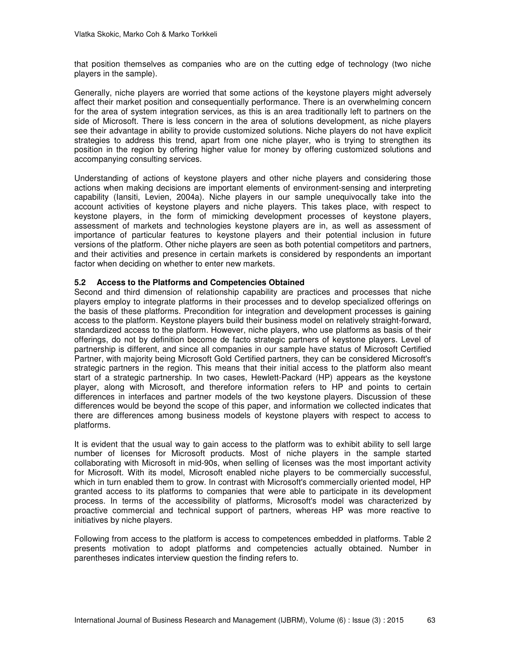that position themselves as companies who are on the cutting edge of technology (two niche players in the sample).

Generally, niche players are worried that some actions of the keystone players might adversely affect their market position and consequentially performance. There is an overwhelming concern for the area of system integration services, as this is an area traditionally left to partners on the side of Microsoft. There is less concern in the area of solutions development, as niche players see their advantage in ability to provide customized solutions. Niche players do not have explicit strategies to address this trend, apart from one niche player, who is trying to strengthen its position in the region by offering higher value for money by offering customized solutions and accompanying consulting services.

Understanding of actions of keystone players and other niche players and considering those actions when making decisions are important elements of environment-sensing and interpreting capability (Iansiti, Levien, 2004a). Niche players in our sample unequivocally take into the account activities of keystone players and niche players. This takes place, with respect to keystone players, in the form of mimicking development processes of keystone players, assessment of markets and technologies keystone players are in, as well as assessment of importance of particular features to keystone players and their potential inclusion in future versions of the platform. Other niche players are seen as both potential competitors and partners, and their activities and presence in certain markets is considered by respondents an important factor when deciding on whether to enter new markets.

## **5.2 Access to the Platforms and Competencies Obtained**

Second and third dimension of relationship capability are practices and processes that niche players employ to integrate platforms in their processes and to develop specialized offerings on the basis of these platforms. Precondition for integration and development processes is gaining access to the platform. Keystone players build their business model on relatively straight-forward, standardized access to the platform. However, niche players, who use platforms as basis of their offerings, do not by definition become de facto strategic partners of keystone players. Level of partnership is different, and since all companies in our sample have status of Microsoft Certified Partner, with majority being Microsoft Gold Certified partners, they can be considered Microsoft's strategic partners in the region. This means that their initial access to the platform also meant start of a strategic partnership. In two cases, Hewlett-Packard (HP) appears as the keystone player, along with Microsoft, and therefore information refers to HP and points to certain differences in interfaces and partner models of the two keystone players. Discussion of these differences would be beyond the scope of this paper, and information we collected indicates that there are differences among business models of keystone players with respect to access to platforms.

It is evident that the usual way to gain access to the platform was to exhibit ability to sell large number of licenses for Microsoft products. Most of niche players in the sample started collaborating with Microsoft in mid-90s, when selling of licenses was the most important activity for Microsoft. With its model, Microsoft enabled niche players to be commercially successful, which in turn enabled them to grow. In contrast with Microsoft's commercially oriented model, HP granted access to its platforms to companies that were able to participate in its development process. In terms of the accessibility of platforms, Microsoft's model was characterized by proactive commercial and technical support of partners, whereas HP was more reactive to initiatives by niche players.

Following from access to the platform is access to competences embedded in platforms. Table 2 presents motivation to adopt platforms and competencies actually obtained. Number in parentheses indicates interview question the finding refers to.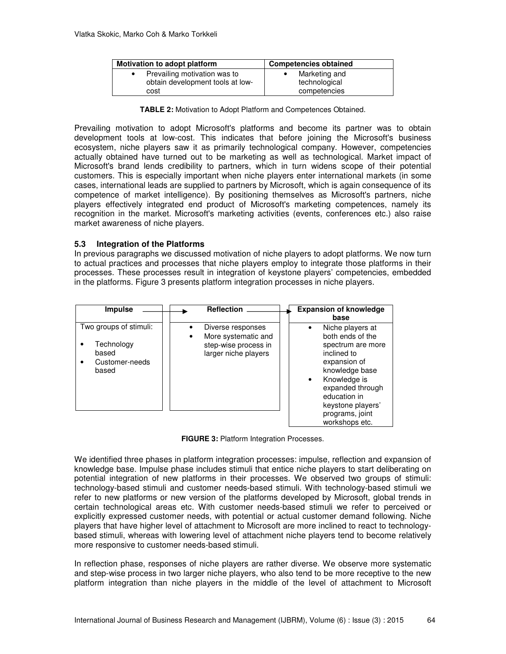| <b>Motivation to adopt platform</b> | <b>Competencies obtained</b> |  |
|-------------------------------------|------------------------------|--|
| Prevailing motivation was to        | Marketing and                |  |
| obtain development tools at low-    | technological                |  |
| cost                                | competencies                 |  |

**TABLE 2:** Motivation to Adopt Platform and Competences Obtained.

Prevailing motivation to adopt Microsoft's platforms and become its partner was to obtain development tools at low-cost. This indicates that before joining the Microsoft's business ecosystem, niche players saw it as primarily technological company. However, competencies actually obtained have turned out to be marketing as well as technological. Market impact of Microsoft's brand lends credibility to partners, which in turn widens scope of their potential customers. This is especially important when niche players enter international markets (in some cases, international leads are supplied to partners by Microsoft, which is again consequence of its competence of market intelligence). By positioning themselves as Microsoft's partners, niche players effectively integrated end product of Microsoft's marketing competences, namely its recognition in the market. Microsoft's marketing activities (events, conferences etc.) also raise market awareness of niche players.

## **5.3 Integration of the Platforms**

In previous paragraphs we discussed motivation of niche players to adopt platforms. We now turn to actual practices and processes that niche players employ to integrate those platforms in their processes. These processes result in integration of keystone players' competencies, embedded in the platforms. Figure 3 presents platform integration processes in niche players.

| <b>Impulse</b>                                                           | <b>Reflection</b>                                                                        | <b>Expansion of knowledge</b><br>base                                                                                                                                                                                                 |
|--------------------------------------------------------------------------|------------------------------------------------------------------------------------------|---------------------------------------------------------------------------------------------------------------------------------------------------------------------------------------------------------------------------------------|
| Two groups of stimuli:<br>Technology<br>based<br>Customer-needs<br>based | Diverse responses<br>More systematic and<br>step-wise process in<br>larger niche players | Niche players at<br>both ends of the<br>spectrum are more<br>inclined to<br>expansion of<br>knowledge base<br>Knowledge is<br>$\bullet$<br>expanded through<br>education in<br>keystone players'<br>programs, joint<br>workshops etc. |

**FIGURE 3:** Platform Integration Processes.

We identified three phases in platform integration processes: impulse, reflection and expansion of knowledge base. Impulse phase includes stimuli that entice niche players to start deliberating on potential integration of new platforms in their processes. We observed two groups of stimuli: technology-based stimuli and customer needs-based stimuli. With technology-based stimuli we refer to new platforms or new version of the platforms developed by Microsoft, global trends in certain technological areas etc. With customer needs-based stimuli we refer to perceived or explicitly expressed customer needs, with potential or actual customer demand following. Niche players that have higher level of attachment to Microsoft are more inclined to react to technologybased stimuli, whereas with lowering level of attachment niche players tend to become relatively more responsive to customer needs-based stimuli.

In reflection phase, responses of niche players are rather diverse. We observe more systematic and step-wise process in two larger niche players, who also tend to be more receptive to the new platform integration than niche players in the middle of the level of attachment to Microsoft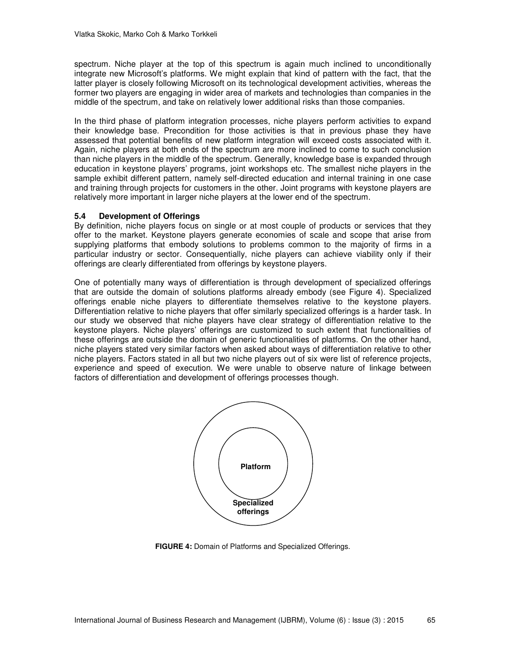spectrum. Niche player at the top of this spectrum is again much inclined to unconditionally integrate new Microsoft's platforms. We might explain that kind of pattern with the fact, that the latter player is closely following Microsoft on its technological development activities, whereas the former two players are engaging in wider area of markets and technologies than companies in the middle of the spectrum, and take on relatively lower additional risks than those companies.

In the third phase of platform integration processes, niche players perform activities to expand their knowledge base. Precondition for those activities is that in previous phase they have assessed that potential benefits of new platform integration will exceed costs associated with it. Again, niche players at both ends of the spectrum are more inclined to come to such conclusion than niche players in the middle of the spectrum. Generally, knowledge base is expanded through education in keystone players' programs, joint workshops etc. The smallest niche players in the sample exhibit different pattern, namely self-directed education and internal training in one case and training through projects for customers in the other. Joint programs with keystone players are relatively more important in larger niche players at the lower end of the spectrum.

## **5.4 Development of Offerings**

By definition, niche players focus on single or at most couple of products or services that they offer to the market. Keystone players generate economies of scale and scope that arise from supplying platforms that embody solutions to problems common to the majority of firms in a particular industry or sector. Consequentially, niche players can achieve viability only if their offerings are clearly differentiated from offerings by keystone players.

One of potentially many ways of differentiation is through development of specialized offerings that are outside the domain of solutions platforms already embody (see Figure 4). Specialized offerings enable niche players to differentiate themselves relative to the keystone players. Differentiation relative to niche players that offer similarly specialized offerings is a harder task. In our study we observed that niche players have clear strategy of differentiation relative to the keystone players. Niche players' offerings are customized to such extent that functionalities of these offerings are outside the domain of generic functionalities of platforms. On the other hand, niche players stated very similar factors when asked about ways of differentiation relative to other niche players. Factors stated in all but two niche players out of six were list of reference projects, experience and speed of execution. We were unable to observe nature of linkage between factors of differentiation and development of offerings processes though.



**FIGURE 4:** Domain of Platforms and Specialized Offerings.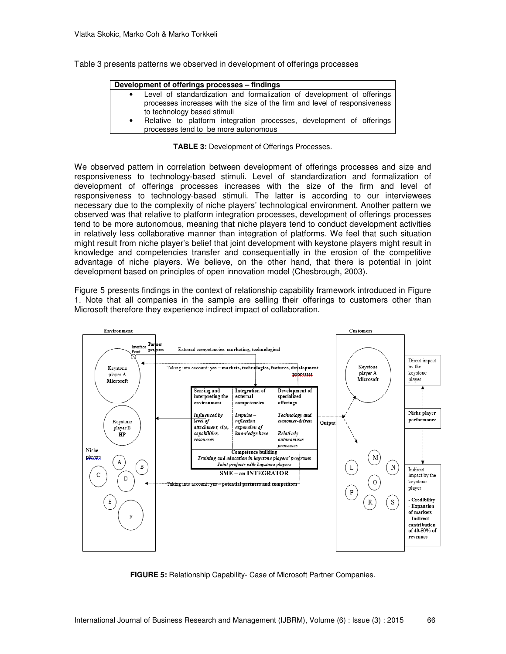Table 3 presents patterns we observed in development of offerings processes

|           | Development of offerings processes - findings                             |
|-----------|---------------------------------------------------------------------------|
|           | • Level of standardization and formalization of development of offerings  |
|           | processes increases with the size of the firm and level of responsiveness |
|           | to technology based stimuli                                               |
| $\bullet$ | Relative to platform integration processes, development of offerings      |
|           | processes tend to be more autonomous                                      |

### **TABLE 3:** Development of Offerings Processes.

We observed pattern in correlation between development of offerings processes and size and responsiveness to technology-based stimuli. Level of standardization and formalization of development of offerings processes increases with the size of the firm and level of responsiveness to technology-based stimuli. The latter is according to our interviewees necessary due to the complexity of niche players' technological environment. Another pattern we observed was that relative to platform integration processes, development of offerings processes tend to be more autonomous, meaning that niche players tend to conduct development activities in relatively less collaborative manner than integration of platforms. We feel that such situation might result from niche player's belief that joint development with keystone players might result in knowledge and competencies transfer and consequentially in the erosion of the competitive advantage of niche players. We believe, on the other hand, that there is potential in joint development based on principles of open innovation model (Chesbrough, 2003).

Figure 5 presents findings in the context of relationship capability framework introduced in Figure 1. Note that all companies in the sample are selling their offerings to customers other than Microsoft therefore they experience indirect impact of collaboration.



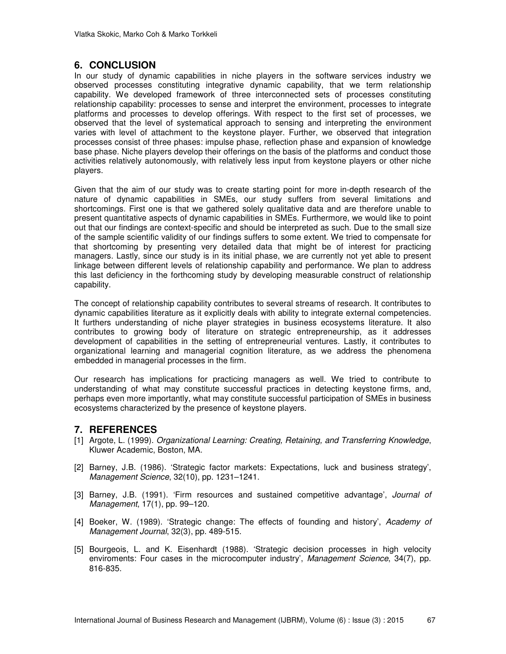# **6. CONCLUSION**

In our study of dynamic capabilities in niche players in the software services industry we observed processes constituting integrative dynamic capability, that we term relationship capability. We developed framework of three interconnected sets of processes constituting relationship capability: processes to sense and interpret the environment, processes to integrate platforms and processes to develop offerings. With respect to the first set of processes, we observed that the level of systematical approach to sensing and interpreting the environment varies with level of attachment to the keystone player. Further, we observed that integration processes consist of three phases: impulse phase, reflection phase and expansion of knowledge base phase. Niche players develop their offerings on the basis of the platforms and conduct those activities relatively autonomously, with relatively less input from keystone players or other niche players.

Given that the aim of our study was to create starting point for more in-depth research of the nature of dynamic capabilities in SMEs, our study suffers from several limitations and shortcomings. First one is that we gathered solely qualitative data and are therefore unable to present quantitative aspects of dynamic capabilities in SMEs. Furthermore, we would like to point out that our findings are context-specific and should be interpreted as such. Due to the small size of the sample scientific validity of our findings suffers to some extent. We tried to compensate for that shortcoming by presenting very detailed data that might be of interest for practicing managers. Lastly, since our study is in its initial phase, we are currently not yet able to present linkage between different levels of relationship capability and performance. We plan to address this last deficiency in the forthcoming study by developing measurable construct of relationship capability.

The concept of relationship capability contributes to several streams of research. It contributes to dynamic capabilities literature as it explicitly deals with ability to integrate external competencies. It furthers understanding of niche player strategies in business ecosystems literature. It also contributes to growing body of literature on strategic entrepreneurship, as it addresses development of capabilities in the setting of entrepreneurial ventures. Lastly, it contributes to organizational learning and managerial cognition literature, as we address the phenomena embedded in managerial processes in the firm.

Our research has implications for practicing managers as well. We tried to contribute to understanding of what may constitute successful practices in detecting keystone firms, and, perhaps even more importantly, what may constitute successful participation of SMEs in business ecosystems characterized by the presence of keystone players.

# **7. REFERENCES**

- [1] Argote, L. (1999). *Organizational Learning: Creating, Retaining, and Transferring Knowledge*, Kluwer Academic, Boston, MA.
- [2] Barney, J.B. (1986). 'Strategic factor markets: Expectations, luck and business strategy', *Management Science*, 32(10), pp. 1231–1241.
- [3] Barney, J.B. (1991). 'Firm resources and sustained competitive advantage', *Journal of Management*, 17(1), pp. 99–120.
- [4] Boeker, W. (1989). 'Strategic change: The effects of founding and history', *Academy of Management Journal*, 32(3), pp. 489-515.
- [5] Bourgeois, L. and K. Eisenhardt (1988). 'Strategic decision processes in high velocity enviroments: Four cases in the microcomputer industry', *Management Science*, 34(7), pp. 816-835.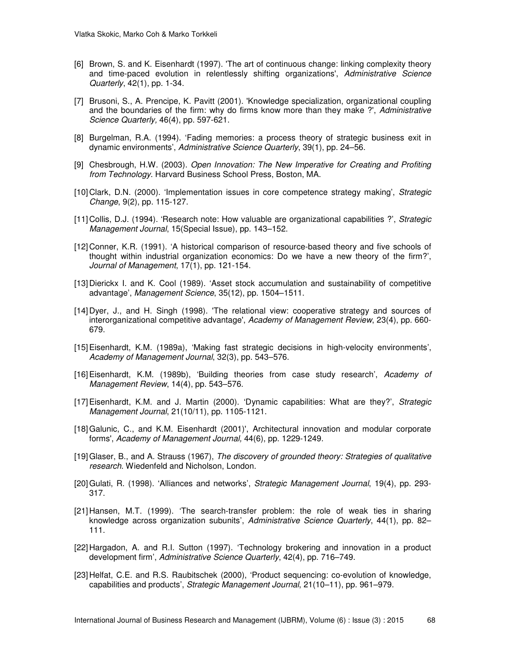- [6] Brown, S. and K. Eisenhardt (1997). 'The art of continuous change: linking complexity theory and time-paced evolution in relentlessly shifting organizations', *Administrative Science Quarterly*, 42(1), pp. 1-34.
- [7] Brusoni, S., A. Prencipe, K. Pavitt (2001). 'Knowledge specialization, organizational coupling and the boundaries of the firm: why do firms know more than they make ?', *Administrative Science Quarterly,* 46(4), pp. 597-621.
- [8] Burgelman, R.A. (1994). 'Fading memories: a process theory of strategic business exit in dynamic environments', *Administrative Science Quarterly*, 39(1), pp. 24–56.
- [9] Chesbrough, H.W. (2003). *Open Innovation: The New Imperative for Creating and Profiting from Technology*. Harvard Business School Press, Boston, MA.
- [10] Clark, D.N. (2000). 'Implementation issues in core competence strategy making', *Strategic Change*, 9(2), pp. 115-127.
- [11] Collis, D.J. (1994). 'Research note: How valuable are organizational capabilities ?', *Strategic Management Journal*, 15(Special Issue), pp. 143–152.
- [12] Conner, K.R. (1991). 'A historical comparison of resource-based theory and five schools of thought within industrial organization economics: Do we have a new theory of the firm?', *Journal of Management*, 17(1), pp. 121-154.
- [13] Dierickx I. and K. Cool (1989). 'Asset stock accumulation and sustainability of competitive advantage', *Management Science*, 35(12), pp. 1504–1511.
- [14] Dyer, J., and H. Singh (1998). 'The relational view: cooperative strategy and sources of interorganizational competitive advantage', *Academy of Management Review*, 23(4), pp. 660- 679.
- [15] Eisenhardt, K.M. (1989a), 'Making fast strategic decisions in high-velocity environments', *Academy of Management Journal*, 32(3), pp. 543–576.
- [16] Eisenhardt, K.M. (1989b), 'Building theories from case study research', *Academy of Management Review*, 14(4), pp. 543–576.
- [17] Eisenhardt, K.M. and J. Martin (2000). 'Dynamic capabilities: What are they?', *Strategic Management Journal*, 21(10/11), pp. 1105-1121.
- [18] Galunic, C., and K.M. Eisenhardt (2001)', Architectural innovation and modular corporate forms', *Academy of Management Journal,* 44(6), pp. 1229-1249.
- [19] Glaser, B., and A. Strauss (1967), *The discovery of grounded theory: Strategies of qualitative research*. Wiedenfeld and Nicholson, London.
- [20] Gulati, R. (1998). 'Alliances and networks', *Strategic Management Journal*, 19(4), pp. 293- 317.
- [21] Hansen, M.T. (1999). 'The search-transfer problem: the role of weak ties in sharing knowledge across organization subunits', *Administrative Science Quarterly*, 44(1), pp. 82– 111.
- [22] Hargadon, A. and R.I. Sutton (1997). 'Technology brokering and innovation in a product development firm', *Administrative Science Quarterly*, 42(4), pp. 716–749.
- [23] Helfat, C.E. and R.S. Raubitschek (2000), 'Product sequencing: co-evolution of knowledge, capabilities and products', *Strategic Management Journal*, 21(10–11), pp. 961–979.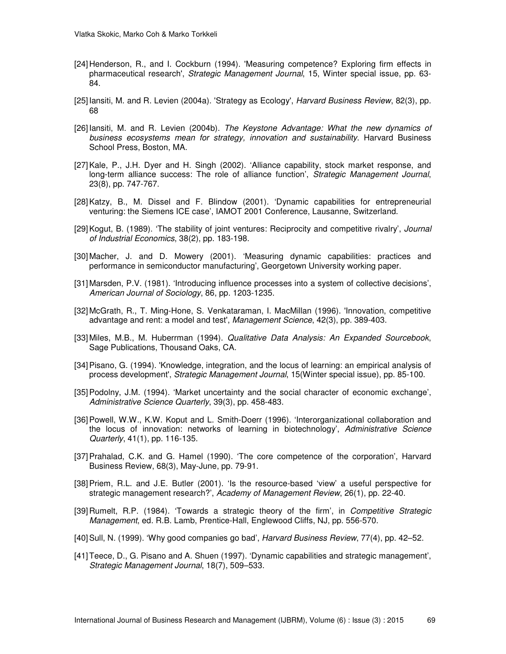- [24] Henderson, R., and I. Cockburn (1994). 'Measuring competence? Exploring firm effects in pharmaceutical research', *Strategic Management Journal*, 15, Winter special issue, pp. 63- 84.
- [25] Iansiti, M. and R. Levien (2004a). 'Strategy as Ecology', *Harvard Business Review*, 82(3), pp. 68
- [26] Iansiti, M. and R. Levien (2004b). *The Keystone Advantage: What the new dynamics of business ecosystems mean for strategy, innovation and sustainability*. Harvard Business School Press, Boston, MA.
- [27] Kale, P., J.H. Dyer and H. Singh (2002). 'Alliance capability, stock market response, and long-term alliance success: The role of alliance function', *Strategic Management Journal*, 23(8), pp. 747-767.
- [28] Katzy, B., M. Dissel and F. Blindow (2001). 'Dynamic capabilities for entrepreneurial venturing: the Siemens ICE case', IAMOT 2001 Conference, Lausanne, Switzerland.
- [29] Kogut, B. (1989). 'The stability of joint ventures: Reciprocity and competitive rivalry', *Journal of Industrial Economics*, 38(2), pp. 183-198.
- [30] Macher, J. and D. Mowery (2001). 'Measuring dynamic capabilities: practices and performance in semiconductor manufacturing', Georgetown University working paper.
- [31] Marsden, P.V. (1981). 'Introducing influence processes into a system of collective decisions', *American Journal of Sociology*, 86, pp. 1203-1235.
- [32] McGrath, R., T. Ming-Hone, S. Venkataraman, I. MacMillan (1996). 'Innovation, competitive advantage and rent: a model and test', *Management Science*, 42(3), pp. 389-403.
- [33] Miles, M.B., M. Huberrman (1994). *Qualitative Data Analysis: An Expanded Sourcebook*, Sage Publications, Thousand Oaks, CA.
- [34] Pisano, G. (1994). 'Knowledge, integration, and the locus of learning: an empirical analysis of process development', *Strategic Management Journal*, 15(Winter special issue), pp. 85-100.
- [35] Podolny, J.M. (1994). 'Market uncertainty and the social character of economic exchange', *Administrative Science Quarterly*, 39(3), pp. 458-483.
- [36] Powell, W.W., K.W. Koput and L. Smith-Doerr (1996). 'Interorganizational collaboration and the locus of innovation: networks of learning in biotechnology', *Administrative Science Quarterly*, 41(1), pp. 116-135.
- [37] Prahalad, C.K. and G. Hamel (1990). 'The core competence of the corporation', Harvard Business Review, 68(3), May-June, pp. 79-91.
- [38] Priem, R.L. and J.E. Butler (2001). 'Is the resource-based 'view' a useful perspective for strategic management research?', *Academy of Management Review*, 26(1), pp. 22-40.
- [39] Rumelt, R.P. (1984). 'Towards a strategic theory of the firm', in *Competitive Strategic Management*, ed. R.B. Lamb, Prentice-Hall, Englewood Cliffs, NJ, pp. 556-570.
- [40] Sull, N. (1999). 'Why good companies go bad', *Harvard Business Review*, 77(4), pp. 42–52.
- [41] Teece, D., G. Pisano and A. Shuen (1997). 'Dynamic capabilities and strategic management', *Strategic Management Journal*, 18(7), 509–533.